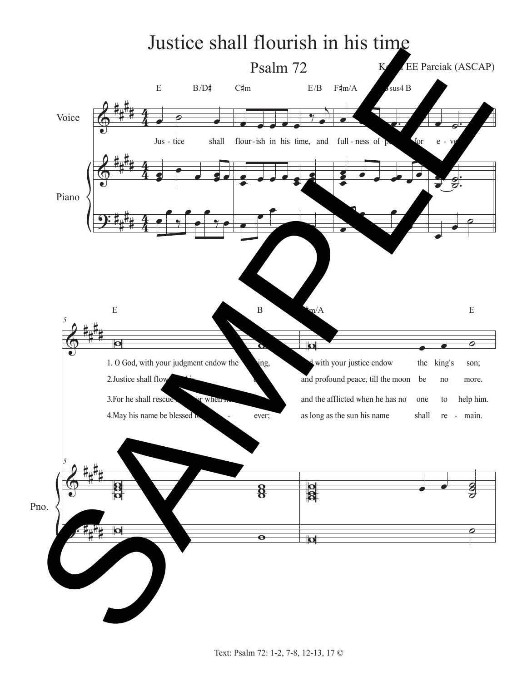## Justice shall flourish in his time